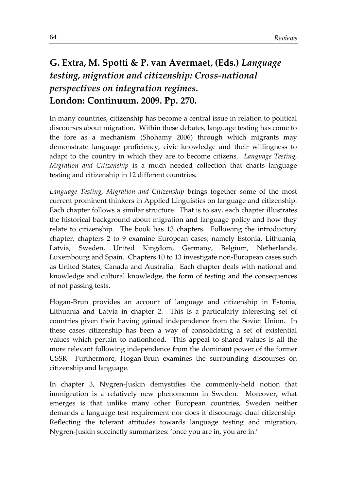## **G. Extra, M. Spotti & P. van Avermaet, (Eds.)** *Language testing, migration and citizenship: Cross-national perspectives on integration regimes.* **London: Continuum. 2009. Pp. 270.**

In many countries, citizenship has become a central issue in relation to political discourses about migration. Within these debates, language testing has come to the fore as a mechanism (Shohamy 2006) through which migrants may demonstrate language proficiency, civic knowledge and their willingness to adapt to the country in which they are to become citizens. *Language Testing, Migration and Citizenship* is a much needed collection that charts language testing and citizenship in 12 different countries.

*Language Testing, Migration and Citizenship* brings together some of the most current prominent thinkers in Applied Linguistics on language and citizenship. Each chapter follows a similar structure. That is to say, each chapter illustrates the historical background about migration and language policy and how they relate to citizenship. The book has 13 chapters. Following the introductory chapter, chapters 2 to 9 examine European cases; namely Estonia, Lithuania, Latvia, Sweden, United Kingdom, Germany, Belgium, Netherlands, Luxembourg and Spain. Chapters 10 to 13 investigate non-European cases such as United States, Canada and Australia. Each chapter deals with national and knowledge and cultural knowledge, the form of testing and the consequences of not passing tests.

Hogan-Brun provides an account of language and citizenship in Estonia, Lithuania and Latvia in chapter 2. This is a particularly interesting set of countries given their having gained independence from the Soviet Union. In these cases citizenship has been a way of consolidating a set of existential values which pertain to nationhood. This appeal to shared values is all the more relevant following independence from the dominant power of the former USSR Furthermore, Hogan-Brun examines the surrounding discourses on citizenship and language.

In chapter 3, Nygren-Juskin demystifies the commonly-held notion that immigration is a relatively new phenomenon in Sweden. Moreover, what emerges is that unlike many other European countries, Sweden neither demands a language test requirement nor does it discourage dual citizenship. Reflecting the tolerant attitudes towards language testing and migration, Nygren-Juskin succinctly summarizes: 'once you are in, you are in.'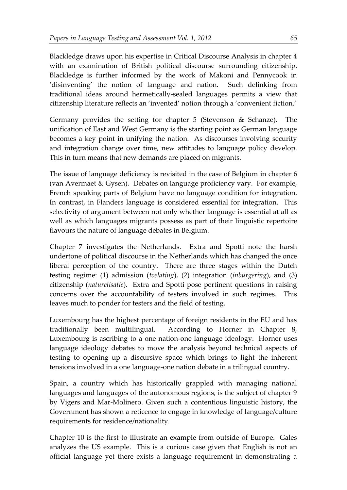Blackledge draws upon his expertise in Critical Discourse Analysis in chapter 4 with an examination of British political discourse surrounding citizenship. Blackledge is further informed by the work of Makoni and Pennycook in 'disinventing' the notion of language and nation. Such delinking from traditional ideas around hermetically-sealed languages permits a view that citizenship literature reflects an 'invented' notion through a 'convenient fiction.'

Germany provides the setting for chapter 5 (Stevenson & Schanze). The unification of East and West Germany is the starting point as German language becomes a key point in unifying the nation. As discourses involving security and integration change over time, new attitudes to language policy develop. This in turn means that new demands are placed on migrants.

The issue of language deficiency is revisited in the case of Belgium in chapter 6 (van Avermaet & Gysen). Debates on language proficiency vary. For example, French speaking parts of Belgium have no language condition for integration. In contrast, in Flanders language is considered essential for integration. This selectivity of argument between not only whether language is essential at all as well as which languages migrants possess as part of their linguistic repertoire flavours the nature of language debates in Belgium.

Chapter 7 investigates the Netherlands. Extra and Spotti note the harsh undertone of political discourse in the Netherlands which has changed the once liberal perception of the country. There are three stages within the Dutch testing regime: (1) admission (*toelating*), (2) integration (*inburgering*), and (3) citizenship (*naturelisatie*). Extra and Spotti pose pertinent questions in raising concerns over the accountability of testers involved in such regimes. This leaves much to ponder for testers and the field of testing.

Luxembourg has the highest percentage of foreign residents in the EU and has traditionally been multilingual. According to Horner in Chapter 8, Luxembourg is ascribing to a one nation-one language ideology. Horner uses language ideology debates to move the analysis beyond technical aspects of testing to opening up a discursive space which brings to light the inherent tensions involved in a one language-one nation debate in a trilingual country.

Spain, a country which has historically grappled with managing national languages and languages of the autonomous regions, is the subject of chapter 9 by Vigers and Mar-Molinero. Given such a contentious linguistic history, the Government has shown a reticence to engage in knowledge of language/culture requirements for residence/nationality.

Chapter 10 is the first to illustrate an example from outside of Europe. Gales analyzes the US example. This is a curious case given that English is not an official language yet there exists a language requirement in demonstrating a